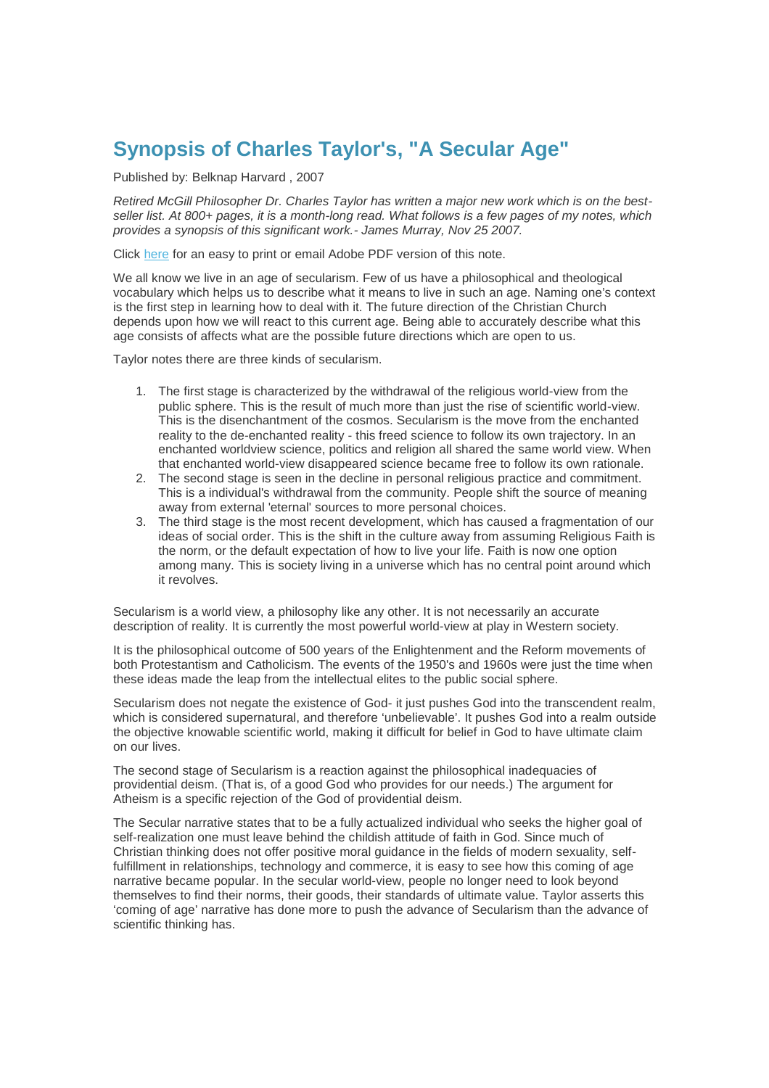## **Synopsis of Charles Taylor's, "A Secular Age"**

Published by: Belknap Harvard , 2007

*Retired McGill Philosopher Dr. Charles Taylor has written a major new work which is on the bestseller list. At 800+ pages, it is a month-long read. What follows is a few pages of my notes, which provides a synopsis of this significant work.- James Murray, Nov 25 2007.*

Click here for an easy to print or email Adobe PDF version of this note.

We all know we live in an age of secularism. Few of us have a philosophical and theological vocabulary which helps us to describe what it means to live in such an age. Naming one's context is the first step in learning how to deal with it. The future direction of the Christian Church depends upon how we will react to this current age. Being able to accurately describe what this age consists of affects what are the possible future directions which are open to us.

Taylor notes there are three kinds of secularism.

- 1. The first stage is characterized by the withdrawal of the religious world-view from the public sphere. This is the result of much more than just the rise of scientific world-view. This is the disenchantment of the cosmos. Secularism is the move from the enchanted reality to the de-enchanted reality - this freed science to follow its own trajectory. In an enchanted worldview science, politics and religion all shared the same world view. When that enchanted world-view disappeared science became free to follow its own rationale.
- 2. The second stage is seen in the decline in personal religious practice and commitment. This is a individual's withdrawal from the community. People shift the source of meaning away from external 'eternal' sources to more personal choices.
- 3. The third stage is the most recent development, which has caused a fragmentation of our ideas of social order. This is the shift in the culture away from assuming Religious Faith is the norm, or the default expectation of how to live your life. Faith is now one option among many. This is society living in a universe which has no central point around which it revolves.

Secularism is a world view, a philosophy like any other. It is not necessarily an accurate description of reality. It is currently the most powerful world-view at play in Western society.

It is the philosophical outcome of 500 years of the Enlightenment and the Reform movements of both Protestantism and Catholicism. The events of the 1950's and 1960s were just the time when these ideas made the leap from the intellectual elites to the public social sphere.

Secularism does not negate the existence of God- it just pushes God into the transcendent realm, which is considered supernatural, and therefore 'unbelievable'. It pushes God into a realm outside the objective knowable scientific world, making it difficult for belief in God to have ultimate claim on our lives.

The second stage of Secularism is a reaction against the philosophical inadequacies of providential deism. (That is, of a good God who provides for our needs.) The argument for Atheism is a specific rejection of the God of providential deism.

The Secular narrative states that to be a fully actualized individual who seeks the higher goal of self-realization one must leave behind the childish attitude of faith in God. Since much of Christian thinking does not offer positive moral guidance in the fields of modern sexuality, selffulfillment in relationships, technology and commerce, it is easy to see how this coming of age narrative became popular. In the secular world-view, people no longer need to look beyond themselves to find their norms, their goods, their standards of ultimate value. Taylor asserts this 'coming of age' narrative has done more to push the advance of Secularism than the advance of scientific thinking has.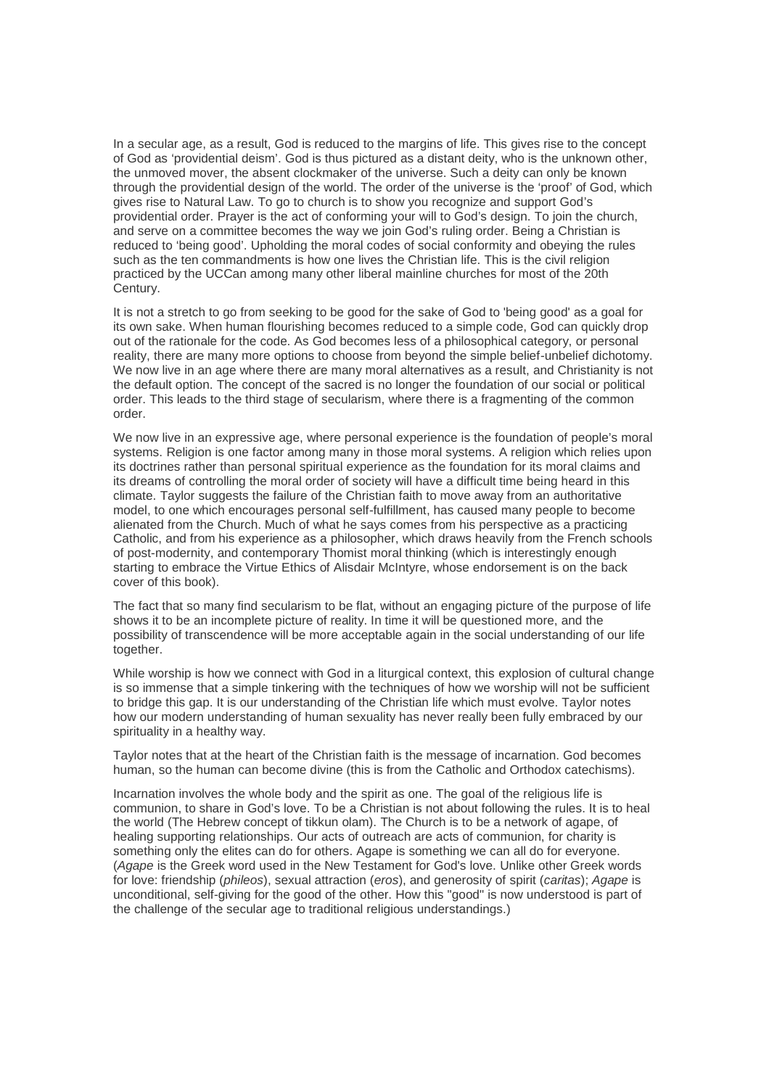In a secular age, as a result, God is reduced to the margins of life. This gives rise to the concept of God as 'providential deism'. God is thus pictured as a distant deity, who is the unknown other, the unmoved mover, the absent clockmaker of the universe. Such a deity can only be known through the providential design of the world. The order of the universe is the 'proof' of God, which gives rise to Natural Law. To go to church is to show you recognize and support God's providential order. Prayer is the act of conforming your will to God's design. To join the church, and serve on a committee becomes the way we join God's ruling order. Being a Christian is reduced to 'being good'. Upholding the moral codes of social conformity and obeying the rules such as the ten commandments is how one lives the Christian life. This is the civil religion practiced by the UCCan among many other liberal mainline churches for most of the 20th Century.

It is not a stretch to go from seeking to be good for the sake of God to 'being good' as a goal for its own sake. When human flourishing becomes reduced to a simple code, God can quickly drop out of the rationale for the code. As God becomes less of a philosophical category, or personal reality, there are many more options to choose from beyond the simple belief-unbelief dichotomy. We now live in an age where there are many moral alternatives as a result, and Christianity is not the default option. The concept of the sacred is no longer the foundation of our social or political order. This leads to the third stage of secularism, where there is a fragmenting of the common order.

We now live in an expressive age, where personal experience is the foundation of people's moral systems. Religion is one factor among many in those moral systems. A religion which relies upon its doctrines rather than personal spiritual experience as the foundation for its moral claims and its dreams of controlling the moral order of society will have a difficult time being heard in this climate. Taylor suggests the failure of the Christian faith to move away from an authoritative model, to one which encourages personal self-fulfillment, has caused many people to become alienated from the Church. Much of what he says comes from his perspective as a practicing Catholic, and from his experience as a philosopher, which draws heavily from the French schools of post-modernity, and contemporary Thomist moral thinking (which is interestingly enough starting to embrace the Virtue Ethics of Alisdair McIntyre, whose endorsement is on the back cover of this book).

The fact that so many find secularism to be flat, without an engaging picture of the purpose of life shows it to be an incomplete picture of reality. In time it will be questioned more, and the possibility of transcendence will be more acceptable again in the social understanding of our life together.

While worship is how we connect with God in a liturgical context, this explosion of cultural change is so immense that a simple tinkering with the techniques of how we worship will not be sufficient to bridge this gap. It is our understanding of the Christian life which must evolve. Taylor notes how our modern understanding of human sexuality has never really been fully embraced by our spirituality in a healthy way.

Taylor notes that at the heart of the Christian faith is the message of incarnation. God becomes human, so the human can become divine (this is from the Catholic and Orthodox catechisms).

Incarnation involves the whole body and the spirit as one. The goal of the religious life is communion, to share in God's love. To be a Christian is not about following the rules. It is to heal the world (The Hebrew concept of tikkun olam). The Church is to be a network of agape, of healing supporting relationships. Our acts of outreach are acts of communion, for charity is something only the elites can do for others. Agape is something we can all do for everyone. (*Agape* is the Greek word used in the New Testament for God's love. Unlike other Greek words for love: friendship (*phileos*), sexual attraction (*eros*), and generosity of spirit (*caritas*); *Agape* is unconditional, self-giving for the good of the other. How this "good" is now understood is part of the challenge of the secular age to traditional religious understandings.)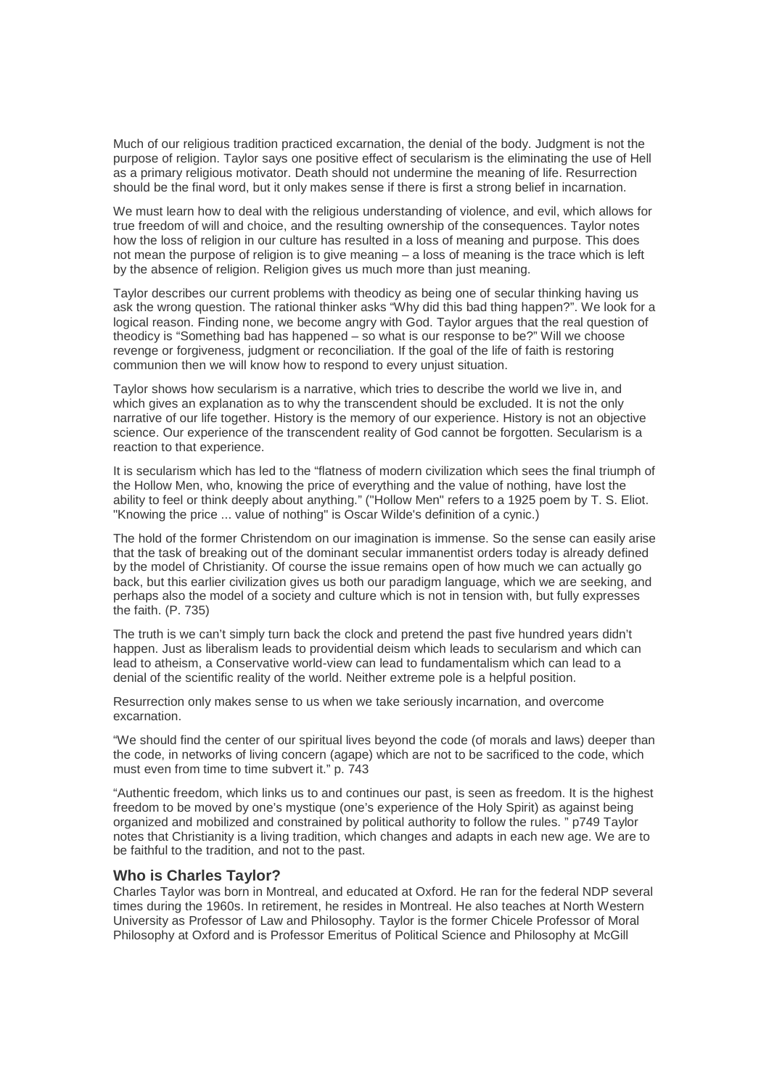Much of our religious tradition practiced excarnation, the denial of the body. Judgment is not the purpose of religion. Taylor says one positive effect of secularism is the eliminating the use of Hell as a primary religious motivator. Death should not undermine the meaning of life. Resurrection should be the final word, but it only makes sense if there is first a strong belief in incarnation.

We must learn how to deal with the religious understanding of violence, and evil, which allows for true freedom of will and choice, and the resulting ownership of the consequences. Taylor notes how the loss of religion in our culture has resulted in a loss of meaning and purpose. This does not mean the purpose of religion is to give meaning – a loss of meaning is the trace which is left by the absence of religion. Religion gives us much more than just meaning.

Taylor describes our current problems with theodicy as being one of secular thinking having us ask the wrong question. The rational thinker asks "Why did this bad thing happen?". We look for a logical reason. Finding none, we become angry with God. Taylor argues that the real question of theodicy is "Something bad has happened – so what is our response to be?" Will we choose revenge or forgiveness, judgment or reconciliation. If the goal of the life of faith is restoring communion then we will know how to respond to every unjust situation.

Taylor shows how secularism is a narrative, which tries to describe the world we live in, and which gives an explanation as to why the transcendent should be excluded. It is not the only narrative of our life together. History is the memory of our experience. History is not an objective science. Our experience of the transcendent reality of God cannot be forgotten. Secularism is a reaction to that experience.

It is secularism which has led to the "flatness of modern civilization which sees the final triumph of the Hollow Men, who, knowing the price of everything and the value of nothing, have lost the ability to feel or think deeply about anything." ("Hollow Men" refers to a 1925 poem by T. S. Eliot. "Knowing the price ... value of nothing" is Oscar Wilde's definition of a cynic.)

The hold of the former Christendom on our imagination is immense. So the sense can easily arise that the task of breaking out of the dominant secular immanentist orders today is already defined by the model of Christianity. Of course the issue remains open of how much we can actually go back, but this earlier civilization gives us both our paradigm language, which we are seeking, and perhaps also the model of a society and culture which is not in tension with, but fully expresses the faith. (P. 735)

The truth is we can't simply turn back the clock and pretend the past five hundred years didn't happen. Just as liberalism leads to providential deism which leads to secularism and which can lead to atheism, a Conservative world-view can lead to fundamentalism which can lead to a denial of the scientific reality of the world. Neither extreme pole is a helpful position.

Resurrection only makes sense to us when we take seriously incarnation, and overcome excarnation.

"We should find the center of our spiritual lives beyond the code (of morals and laws) deeper than the code, in networks of living concern (agape) which are not to be sacrificed to the code, which must even from time to time subvert it." p. 743

"Authentic freedom, which links us to and continues our past, is seen as freedom. It is the highest freedom to be moved by one's mystique (one's experience of the Holy Spirit) as against being organized and mobilized and constrained by political authority to follow the rules. " p749 Taylor notes that Christianity is a living tradition, which changes and adapts in each new age. We are to be faithful to the tradition, and not to the past.

## **Who is Charles Taylor?**

Charles Taylor was born in Montreal, and educated at Oxford. He ran for the federal NDP several times during the 1960s. In retirement, he resides in Montreal. He also teaches at North Western University as Professor of Law and Philosophy. Taylor is the former Chicele Professor of Moral Philosophy at Oxford and is Professor Emeritus of Political Science and Philosophy at McGill